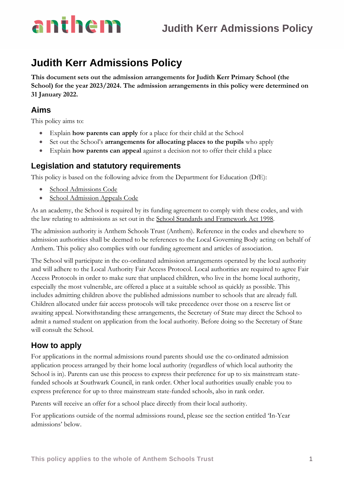

## **Judith Kerr Admissions Policy**

**This document sets out the admission arrangements for Judith Kerr Primary School (the School) for the year 2023/2024. The admission arrangements in this policy were determined on 31 January 2022.**

## **Aims**

This policy aims to:

- Explain **how parents can apply** for a place for their child at the School
- Set out the School's **arrangements for allocating places to the pupils** who apply
- Explain **how parents can appeal** against a decision not to offer their child a place

### **Legislation and statutory requirements**

This policy is based on the following advice from the Department for Education (DfE):

- [School Admissions Code](https://www.gov.uk/government/publications/school-admissions-code--2)
- [School Admission Appeals Code](https://www.gov.uk/government/publications/school-admissions-appeals-code)

As an academy, the School is required by its funding agreement to comply with these codes, and with the law relating to admissions as set out in the [School Standards and Framework Act 1998.](http://www.legislation.gov.uk/ukpga/1998/31/contents)

The admission authority is Anthem Schools Trust (Anthem). Reference in the codes and elsewhere to admission authorities shall be deemed to be references to the Local Governing Body acting on behalf of Anthem. This policy also complies with our funding agreement and articles of association.

The School will participate in the co-ordinated admission arrangements operated by the local authority and will adhere to the Local Authority Fair Access Protocol. Local authorities are required to agree Fair Access Protocols in order to make sure that unplaced children, who live in the home local authority, especially the most vulnerable, are offered a place at a suitable school as quickly as possible. This includes admitting children above the published admissions number to schools that are already full. Children allocated under fair access protocols will take precedence over those on a reserve list or awaiting appeal. Notwithstanding these arrangements, the Secretary of State may direct the School to admit a named student on application from the local authority. Before doing so the Secretary of State will consult the School.

### **How to apply**

For applications in the normal admissions round parents should use the co-ordinated admission application process arranged by their home local authority (regardless of which local authority the School is in). Parents can use this process to express their preference for up to six mainstream statefunded schools at Southwark Council, in rank order. Other local authorities usually enable you to express preference for up to three mainstream state-funded schools, also in rank order.

Parents will receive an offer for a school place directly from their local authority.

For applications outside of the normal admissions round, please see the section entitled 'In-Year admissions' below.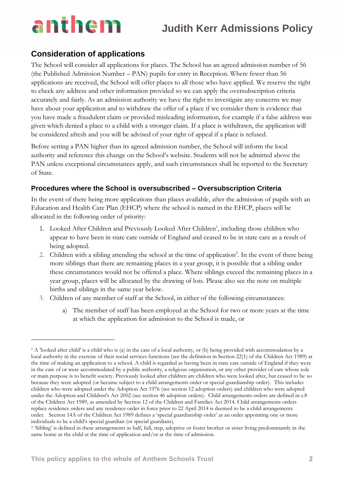# anthem

## **Judith Kerr Admissions Policy**

## **Consideration of applications**

The School will consider all applications for places. The School has an agreed admission number of 56 (the Published Admission Number – PAN) pupils for entry in Reception. Where fewer than 56 applications are received, the School will offer places to all those who have applied. We reserve the right to check any address and other information provided so we can apply the oversubscription criteria accurately and fairly. As an admission authority we have the right to investigate any concerns we may have about your application and to withdraw the offer of a place if we consider there is evidence that you have made a fraudulent claim or provided misleading information, for example if a false address was given which denied a place to a child with a stronger claim. If a place is withdrawn, the application will be considered afresh and you will be advised of your right of appeal if a place is refused.

Before setting a PAN higher than its agreed admission number, the School will inform the local authority and reference this change on the School's website. Students will not be admitted above the PAN unless exceptional circumstances apply, and such circumstances shall be reported to the Secretary of State.

### **Procedures where the School is oversubscribed – Oversubscription Criteria**

In the event of there being more applications than places available, after the admission of pupils with an Education and Health Care Plan (EHCP) where the school is named in the EHCP, places will be allocated in the following order of priority:

- 1. Looked After Children and Previously Looked After Children<sup>1</sup>, including those children who appear to have been in state care outside of England and ceased to be in state care as a result of being adopted.
- 2. Children with a sibling attending the school at the time of application<sup>2</sup>. In the event of there being more siblings than there are remaining places in a year group, it is possible that a sibling under these circumstances would not be offered a place. Where siblings exceed the remaining places in a year group, places will be allocated by the drawing of lots. Please also see the note on multiple births and siblings in the same year below.
- 3. Children of any member of staff at the School, in either of the following circumstances:
	- a) The member of staff has been employed at the School for two or more years at the time at which the application for admission to the School is made, or

<sup>1</sup> A 'looked after child' is a child who is (a) in the care of a local authority, or (b) being provided with accommodation by a local authority in the exercise of their social services functions (see the definition in Section 22(1) of the Children Act 1989) at the time of making an application to a school. A child is regarded as having been in state care outside of England if they were in the care of or were accommodated by a public authority, a religious organisation, or any other provider of care whose sole or main purpose is to benefit society. Previously looked after children are children who were looked after, but ceased to be so because they were adopted (or became subject to a child arrangements order or special guardianship order). This includes children who were adopted under the Adoption Act 1976 (see section 12 adoption orders) and children who were adopted under the Adoption and Children's Act 2002 (see section 46 adoption orders). Child arrangements orders are defined in s.8 of the Children Act 1989, as amended by Section 12 of the Children and Families Act 2014. Child arrangements orders replace residence orders and any residence order in force prior to 22 April 2014 is deemed to be a child arrangements order. Section 14A of the Children Act 1989 defines a 'special guardianship order' as an order appointing one or more individuals to be a child's special guardian (or special guardians).

<sup>2</sup> 'Sibling' is defined in these arrangements as half, full, step, adoptive or foster brother or sister living predominantly in the same home as the child at the time of application and/or at the time of admission.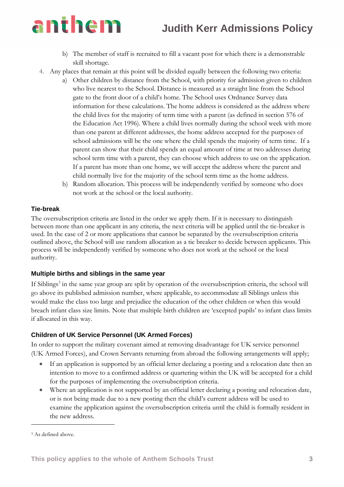## **Judith Kerr Admissions Policy**

# anthem

- b) The member of staff is recruited to fill a vacant post for which there is a demonstrable skill shortage.
- 4. Any places that remain at this point will be divided equally between the following two criteria:
	- a) Other children by distance from the School, with priority for admission given to children who live nearest to the School. Distance is measured as a straight line from the School gate to the front door of a child's home. The School uses Ordnance Survey data information for these calculations. The home address is considered as the address where the child lives for the majority of term time with a parent (as defined in section 576 of the Education Act 1996). Where a child lives normally during the school week with more than one parent at different addresses, the home address accepted for the purposes of school admissions will be the one where the child spends the majority of term time. If a parent can show that their child spends an equal amount of time at two addresses during school term time with a parent, they can choose which address to use on the application. If a parent has more than one home, we will accept the address where the parent and child normally live for the majority of the school term time as the home address.
	- b) Random allocation. This process will be independently verified by someone who does not work at the school or the local authority.

#### **Tie-break**

The oversubscription criteria are listed in the order we apply them. If it is necessary to distinguish between more than one applicant in any criteria, the next criteria will be applied until the tie-breaker is used. In the case of 2 or more applications that cannot be separated by the oversubscription criteria outlined above, the School will use random allocation as a tie breaker to decide between applicants. This process will be independently verified by someone who does not work at the school or the local authority.

#### **Multiple births and siblings in the same year**

If Siblings<sup>3</sup> in the same year group are split by operation of the oversubscription criteria, the school will go above its published admission number, where applicable, to accommodate all Siblings unless this would make the class too large and prejudice the education of the other children or when this would breach infant class size limits. Note that multiple birth children are 'excepted pupils' to infant class limits if allocated in this way.

### **Children of UK Service Personnel (UK Armed Forces)**

In order to support the military covenant aimed at removing disadvantage for UK service personnel (UK Armed Forces), and Crown Servants returning from abroad the following arrangements will apply;

- If an application is supported by an official letter declaring a posting and a relocation date then an intention to move to a confirmed address or quartering within the UK will be accepted for a child for the purposes of implementing the oversubscription criteria.
- Where an application is not supported by an official letter declaring a posting and relocation date, or is not being made due to a new posting then the child's current address will be used to examine the application against the oversubscription criteria until the child is formally resident in the new address.

<sup>3</sup> As defined above.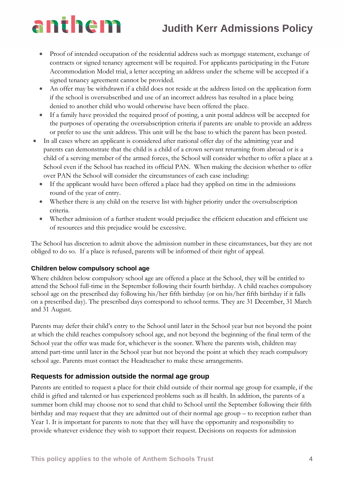# **Judith Kerr Admissions Policy**

# anthem

- Proof of intended occupation of the residential address such as mortgage statement, exchange of contracts or signed tenancy agreement will be required. For applicants participating in the Future Accommodation Model trial, a letter accepting an address under the scheme will be accepted if a signed tenancy agreement cannot be provided.
- An offer may be withdrawn if a child does not reside at the address listed on the application form if the school is oversubscribed and use of an incorrect address has resulted in a place being denied to another child who would otherwise have been offered the place.
- If a family have provided the required proof of posting, a unit postal address will be accepted for the purposes of operating the oversubscription criteria if parents are unable to provide an address or prefer to use the unit address. This unit will be the base to which the parent has been posted.
- In all cases where an applicant is considered after national offer day of the admitting year and parents can demonstrate that the child is a child of a crown servant returning from abroad or is a child of a serving member of the armed forces, the School will consider whether to offer a place at a School even if the School has reached its official PAN. When making the decision whether to offer over PAN the School will consider the circumstances of each case including:
	- If the applicant would have been offered a place had they applied on time in the admissions round of the year of entry.
	- Whether there is any child on the reserve list with higher priority under the oversubscription criteria.
	- Whether admission of a further student would prejudice the efficient education and efficient use of resources and this prejudice would be excessive.

The School has discretion to admit above the admission number in these circumstances, but they are not obliged to do so. If a place is refused, parents will be informed of their right of appeal.

### **Children below compulsory school age**

Where children below compulsory school age are offered a place at the School, they will be entitled to attend the School full-time in the September following their fourth birthday. A child reaches compulsory school age on the prescribed day following his/her fifth birthday (or on his/her fifth birthday if it falls on a prescribed day). The prescribed days correspond to school terms. They are 31 December, 31 March and 31 August.

Parents may defer their child's entry to the School until later in the School year but not beyond the point at which the child reaches compulsory school age, and not beyond the beginning of the final term of the School year the offer was made for, whichever is the sooner. Where the parents wish, children may attend part-time until later in the School year but not beyond the point at which they reach compulsory school age. Parents must contact the Headteacher to make these arrangements.

### **Requests for admission outside the normal age group**

Parents are entitled to request a place for their child outside of their normal age group for example, if the child is gifted and talented or has experienced problems such as ill health. In addition, the parents of a summer born child may choose not to send that child to School until the September following their fifth birthday and may request that they are admitted out of their normal age group – to reception rather than Year 1. It is important for parents to note that they will have the opportunity and responsibility to provide whatever evidence they wish to support their request. Decisions on requests for admission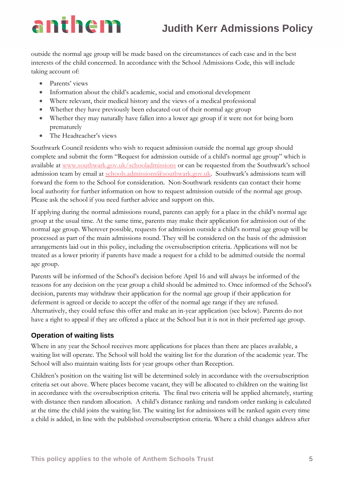# anthem

## **Judith Kerr Admissions Policy**

outside the normal age group will be made based on the circumstances of each case and in the best interests of the child concerned. In accordance with the School Admissions Code, this will include taking account of:

- Parents' views
- Information about the child's academic, social and emotional development
- Where relevant, their medical history and the views of a medical professional
- Whether they have previously been educated out of their normal age group
- Whether they may naturally have fallen into a lower age group if it were not for being born prematurely
- The Headteacher's views

Southwark Council residents who wish to request admission outside the normal age group should complete and submit the form "Request for admission outside of a child's normal age group" which is available at [www.southwark.gov.uk/schooladmissions](http://www.southwark.gov.uk/schooladmissions) or can be requested from the Southwark's school admission team by email at [schools.admissions@southwark.gov.uk](mailto:schools.admissions@southwark.gov.uk). Southwark's admissions team will forward the form to the School for consideration. Non-Southwark residents can contact their home local authority for further information on how to request admission outside of the normal age group. Please ask the school if you need further advice and support on this.

If applying during the normal admissions round, parents can apply for a place in the child's normal age group at the usual time. At the same time, parents may make their application for admission out of the normal age group. Wherever possible, requests for admission outside a child's normal age group will be processed as part of the main admissions round. They will be considered on the basis of the admission arrangements laid out in this policy, including the oversubscription criteria. Applications will not be treated as a lower priority if parents have made a request for a child to be admitted outside the normal age group.

Parents will be informed of the School's decision before April 16 and will always be informed of the reasons for any decision on the year group a child should be admitted to. Once informed of the School's decision, parents may withdraw their application for the normal age group if their application for deferment is agreed or decide to accept the offer of the normal age range if they are refused. Alternatively, they could refuse this offer and make an in-year application (see below). Parents do not have a right to appeal if they are offered a place at the School but it is not in their preferred age group.

### **Operation of waiting lists**

Where in any year the School receives more applications for places than there are places available, a waiting list will operate. The School will hold the waiting list for the duration of the academic year. The School will also maintain waiting lists for year groups other than Reception.

Children's position on the waiting list will be determined solely in accordance with the oversubscription criteria set out above. Where places become vacant, they will be allocated to children on the waiting list in accordance with the oversubscription criteria. The final two criteria will be applied alternately, starting with distance then random allocation. A child's distance ranking and random order ranking is calculated at the time the child joins the waiting list. The waiting list for admissions will be ranked again every time a child is added, in line with the published oversubscription criteria. Where a child changes address after